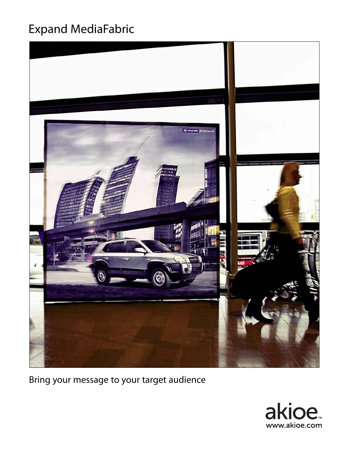## Expand MediaFabric



Bring your message to your target audience